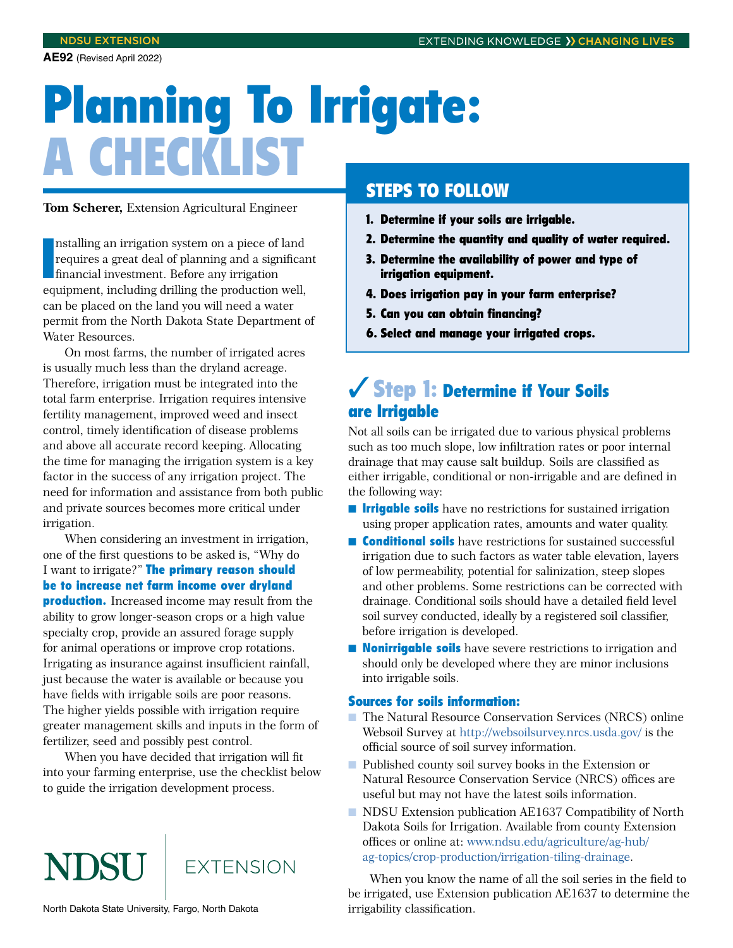**AE92** (Revised April 2022)

# Planning To Irrigate: A CHECKLIST

**Tom Scherer,** Extension Agricultural Engineer

Installing an irrigation system on a piece of land<br>requires a great deal of planning and a significar<br>financial investment. Before any irrigation<br>equipment, including drilling the production well, nstalling an irrigation system on a piece of land requires a great deal of planning and a significant financial investment. Before any irrigation can be placed on the land you will need a water permit from the North Dakota State Department of Water Resources.

On most farms, the number of irrigated acres is usually much less than the dryland acreage. Therefore, irrigation must be integrated into the total farm enterprise. Irrigation requires intensive fertility management, improved weed and insect control, timely identification of disease problems and above all accurate record keeping. Allocating the time for managing the irrigation system is a key factor in the success of any irrigation project. The need for information and assistance from both public and private sources becomes more critical under irrigation.

When considering an investment in irrigation, one of the first questions to be asked is, "Why do I want to irrigate?" The primary reason should be to increase net farm income over dryland **production.** Increased income may result from the ability to grow longer-season crops or a high value specialty crop, provide an assured forage supply for animal operations or improve crop rotations. Irrigating as insurance against insufficient rainfall, just because the water is available or because you have fields with irrigable soils are poor reasons. The higher yields possible with irrigation require greater management skills and inputs in the form of fertilizer, seed and possibly pest control.

When you have decided that irrigation will fit into your farming enterprise, use the checklist below to guide the irrigation development process.

# NDSU **FXTENSION**

North Dakota State University, Fargo, North Dakota

## STEPS TO FOLLOW

- 1. Determine if your soils are irrigable.
- 2. Determine the quantity and quality of water required.
- 3. Determine the availability of power and type of irrigation equipment.
- 4. Does irrigation pay in your farm enterprise?
- 5. Can you can obtain financing?
- 6. Select and manage your irrigated crops.

## ✓Step 1: Determine if Your Soils are Irrigable

Not all soils can be irrigated due to various physical problems such as too much slope, low infiltration rates or poor internal drainage that may cause salt buildup. Soils are classified as either irrigable, conditional or non-irrigable and are defined in the following way:

- **Irrigable soils** have no restrictions for sustained irrigation using proper application rates, amounts and water quality.
- **Conditional soils** have restrictions for sustained successful irrigation due to such factors as water table elevation, layers of low permeability, potential for salinization, steep slopes and other problems. Some restrictions can be corrected with drainage. Conditional soils should have a detailed field level soil survey conducted, ideally by a registered soil classifier, before irrigation is developed.
- **Nonirrigable soils** have severe restrictions to irrigation and should only be developed where they are minor inclusions into irrigable soils.

#### Sources for soils information:

- The Natural Resource Conservation Services (NRCS) online Websoil Survey at<http://websoilsurvey.nrcs.usda.gov/> is the official source of soil survey information.
- Published county soil survey books in the Extension or Natural Resource Conservation Service (NRCS) offices are useful but may not have the latest soils information.
- NDSU Extension publication AE1637 Compatibility of North Dakota Soils for Irrigation. Available from county Extension offices or online at: [www.ndsu.edu/agriculture/ag-hub/](https://www.ndsu.edu/agriculture/ag-hub/ag-topics/crop-production/irrigation-tiling-drainage) [ag-topics/crop-production/irrigation-tiling-drainage](https://www.ndsu.edu/agriculture/ag-hub/ag-topics/crop-production/irrigation-tiling-drainage).

When you know the name of all the soil series in the field to be irrigated, use Extension publication AE1637 to determine the irrigability classification.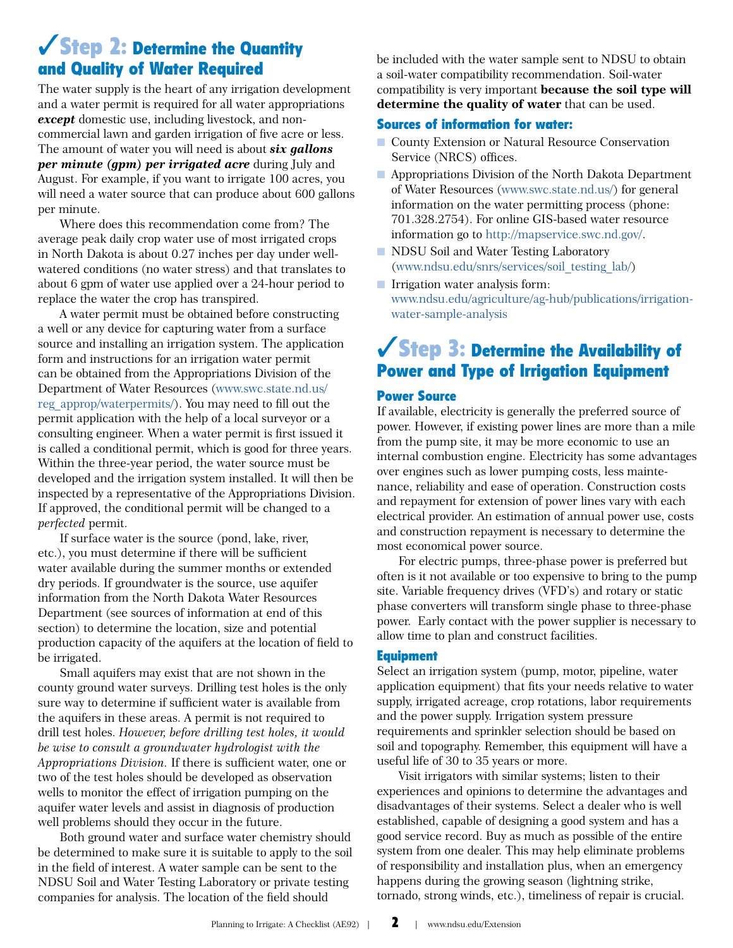## ✓Step 2: Determine the Quantity and Quality of Water Required

The water supply is the heart of any irrigation development and a water permit is required for all water appropriations *except* domestic use, including livestock, and noncommercial lawn and garden irrigation of five acre or less. The amount of water you will need is about *six gallons per minute (gpm) per irrigated acre* during July and August. For example, if you want to irrigate 100 acres, you will need a water source that can produce about 600 gallons per minute.

Where does this recommendation come from? The average peak daily crop water use of most irrigated crops in North Dakota is about 0.27 inches per day under wellwatered conditions (no water stress) and that translates to about 6 gpm of water use applied over a 24-hour period to replace the water the crop has transpired.

A water permit must be obtained before constructing a well or any device for capturing water from a surface source and installing an irrigation system. The application form and instructions for an irrigation water permit can be obtained from the Appropriations Division of the Department of Water Resources [\(www.swc.state.nd.us/](http://www.swc.state.nd.us/reg_approp/waterpermits/) [reg\\_approp/waterpermits/](http://www.swc.state.nd.us/reg_approp/waterpermits/)). You may need to fill out the permit application with the help of a local surveyor or a consulting engineer. When a water permit is first issued it is called a conditional permit, which is good for three years. Within the three-year period, the water source must be developed and the irrigation system installed. It will then be inspected by a representative of the Appropriations Division. If approved, the conditional permit will be changed to a *perfected* permit.

If surface water is the source (pond, lake, river, etc.), you must determine if there will be sufficient water available during the summer months or extended dry periods. If groundwater is the source, use aquifer information from the North Dakota Water Resources Department (see sources of information at end of this section) to determine the location, size and potential production capacity of the aquifers at the location of field to be irrigated.

Small aquifers may exist that are not shown in the county ground water surveys. Drilling test holes is the only sure way to determine if sufficient water is available from the aquifers in these areas. A permit is not required to drill test holes. *However, before drilling test holes, it would be wise to consult a groundwater hydrologist with the Appropriations Division.* If there is sufficient water, one or two of the test holes should be developed as observation wells to monitor the effect of irrigation pumping on the aquifer water levels and assist in diagnosis of production well problems should they occur in the future.

Both ground water and surface water chemistry should be determined to make sure it is suitable to apply to the soil in the field of interest. A water sample can be sent to the NDSU Soil and Water Testing Laboratory or private testing companies for analysis. The location of the field should

be included with the water sample sent to NDSU to obtain a soil-water compatibility recommendation. Soil-water compatibility is very important **because the soil type will determine the quality of water** that can be used.

#### Sources of information for water:

- County Extension or Natural Resource Conservation Service (NRCS) offices.
- Appropriations Division of the North Dakota Department of Water Resources [\(www.swc.state.nd.us/](http://www.swc.state.nd.us/)) for general information on the water permitting process (phone: 701.328.2754). For online GIS-based water resource information go to [http://mapservice.swc.nd.gov/.](http://mapservice.swc.nd.gov/)
- NDSU Soil and Water Testing Laboratory [\(www.ndsu.edu/snrs/services/soil\\_testing\\_lab/](https://www.ndsu.edu/snrs/services/soil_testing_lab/))
- Irrigation water analysis form: [www.ndsu.edu/agriculture/ag-hub/publications/irrigation](https://www.ndsu.edu/agriculture/ag-hub/publications/irrigation-water-sample-analysis)[water-sample-analysis](https://www.ndsu.edu/agriculture/ag-hub/publications/irrigation-water-sample-analysis)

## ✓Step 3: Determine the Availability of Power and Type of Irrigation Equipment

#### Power Source

If available, electricity is generally the preferred source of power. However, if existing power lines are more than a mile from the pump site, it may be more economic to use an internal combustion engine. Electricity has some advantages over engines such as lower pumping costs, less maintenance, reliability and ease of operation. Construction costs and repayment for extension of power lines vary with each electrical provider. An estimation of annual power use, costs and construction repayment is necessary to determine the most economical power source.

For electric pumps, three-phase power is preferred but often is it not available or too expensive to bring to the pump site. Variable frequency drives (VFD's) and rotary or static phase converters will transform single phase to three-phase power. Early contact with the power supplier is necessary to allow time to plan and construct facilities.

#### Equipment

Select an irrigation system (pump, motor, pipeline, water application equipment) that fits your needs relative to water supply, irrigated acreage, crop rotations, labor requirements and the power supply. Irrigation system pressure requirements and sprinkler selection should be based on soil and topography. Remember, this equipment will have a useful life of 30 to 35 years or more.

Visit irrigators with similar systems; listen to their experiences and opinions to determine the advantages and disadvantages of their systems. Select a dealer who is well established, capable of designing a good system and has a good service record. Buy as much as possible of the entire system from one dealer. This may help eliminate problems of responsibility and installation plus, when an emergency happens during the growing season (lightning strike, tornado, strong winds, etc.), timeliness of repair is crucial.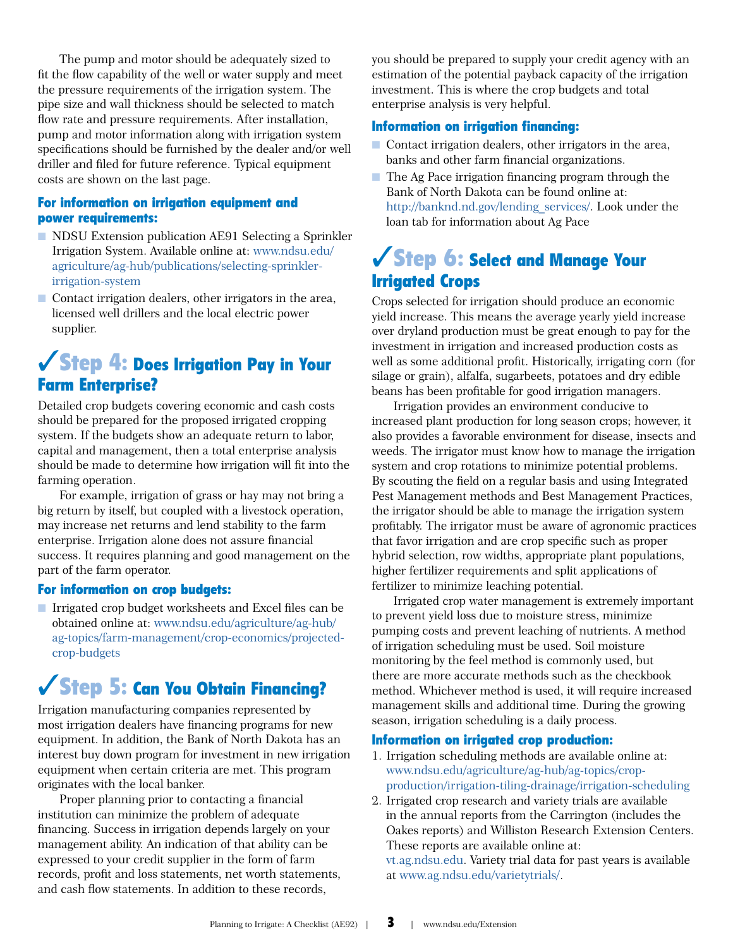The pump and motor should be adequately sized to fit the flow capability of the well or water supply and meet the pressure requirements of the irrigation system. The pipe size and wall thickness should be selected to match flow rate and pressure requirements. After installation, pump and motor information along with irrigation system specifications should be furnished by the dealer and/or well driller and filed for future reference. Typical equipment costs are shown on the last page.

#### For information on irrigation equipment and power requirements:

- NDSU Extension publication AE91 Selecting a Sprinkler Irrigation System. Available online at: [www.ndsu.edu/](https://www.ndsu.edu/agriculture/ag-hub/publications/selecting-sprinkler-irrigation-system) [agriculture/ag-hub/publications/selecting-sprinkler](https://www.ndsu.edu/agriculture/ag-hub/publications/selecting-sprinkler-irrigation-system)[irrigation-system](https://www.ndsu.edu/agriculture/ag-hub/publications/selecting-sprinkler-irrigation-system)
- Contact irrigation dealers, other irrigators in the area, licensed well drillers and the local electric power supplier.

## ✓Step 4: Does Irrigation Pay in Your Farm Enterprise?

Detailed crop budgets covering economic and cash costs should be prepared for the proposed irrigated cropping system. If the budgets show an adequate return to labor, capital and management, then a total enterprise analysis should be made to determine how irrigation will fit into the farming operation.

For example, irrigation of grass or hay may not bring a big return by itself, but coupled with a livestock operation, may increase net returns and lend stability to the farm enterprise. Irrigation alone does not assure financial success. It requires planning and good management on the part of the farm operator.

#### For information on crop budgets:

■ Irrigated crop budget worksheets and Excel files can be obtained online at: [www.ndsu.edu/agriculture/ag-hub/](https://www.ndsu.edu/agriculture/ag-hub/ag-topics/farm-management/crop-economics/projected-crop-budgets) [ag-topics/farm-management/crop-economics/projected](https://www.ndsu.edu/agriculture/ag-hub/ag-topics/farm-management/crop-economics/projected-crop-budgets)[crop-budgets](https://www.ndsu.edu/agriculture/ag-hub/ag-topics/farm-management/crop-economics/projected-crop-budgets)

## ✓Step 5: Can You Obtain Financing?

Irrigation manufacturing companies represented by most irrigation dealers have financing programs for new equipment. In addition, the Bank of North Dakota has an interest buy down program for investment in new irrigation equipment when certain criteria are met. This program originates with the local banker.

Proper planning prior to contacting a financial institution can minimize the problem of adequate financing. Success in irrigation depends largely on your management ability. An indication of that ability can be expressed to your credit supplier in the form of farm records, profit and loss statements, net worth statements, and cash flow statements. In addition to these records,

you should be prepared to supply your credit agency with an estimation of the potential payback capacity of the irrigation investment. This is where the crop budgets and total enterprise analysis is very helpful.

#### Information on irrigation financing:

- Contact irrigation dealers, other irrigators in the area, banks and other farm financial organizations.
- The Ag Pace irrigation financing program through the Bank of North Dakota can be found online at: [http://banknd.nd.gov/lending\\_services/](http://banknd.nd.gov/lending_services/). Look under the loan tab for information about Ag Pace

## ✓Step 6: Select and Manage Your Irrigated Crops

Crops selected for irrigation should produce an economic yield increase. This means the average yearly yield increase over dryland production must be great enough to pay for the investment in irrigation and increased production costs as well as some additional profit. Historically, irrigating corn (for silage or grain), alfalfa, sugarbeets, potatoes and dry edible beans has been profitable for good irrigation managers.

Irrigation provides an environment conducive to increased plant production for long season crops; however, it also provides a favorable environment for disease, insects and weeds. The irrigator must know how to manage the irrigation system and crop rotations to minimize potential problems. By scouting the field on a regular basis and using Integrated Pest Management methods and Best Management Practices, the irrigator should be able to manage the irrigation system profitably. The irrigator must be aware of agronomic practices that favor irrigation and are crop specific such as proper hybrid selection, row widths, appropriate plant populations, higher fertilizer requirements and split applications of fertilizer to minimize leaching potential.

Irrigated crop water management is extremely important to prevent yield loss due to moisture stress, minimize pumping costs and prevent leaching of nutrients. A method of irrigation scheduling must be used. Soil moisture monitoring by the feel method is commonly used, but there are more accurate methods such as the checkbook method. Whichever method is used, it will require increased management skills and additional time. During the growing season, irrigation scheduling is a daily process.

#### Information on irrigated crop production:

- 1. Irrigation scheduling methods are available online at: [www.ndsu.edu/agriculture/ag-hub/ag-topics/crop](https://www.ndsu.edu/agriculture/ag-hub/ag-topics/crop-production/irrigation-tiling-drainage/irrigation-scheduling)[production/irrigation-tiling-drainage/irrigation-scheduling](https://www.ndsu.edu/agriculture/ag-hub/ag-topics/crop-production/irrigation-tiling-drainage/irrigation-scheduling)
- 2. Irrigated crop research and variety trials are available in the annual reports from the Carrington (includes the Oakes reports) and Williston Research Extension Centers. These reports are available online at: [vt.ag.ndsu.edu](https://vt.ag.ndsu.edu/). Variety trial data for past years is available at [www.ag.ndsu.edu/varietytrials/.](https://www.ag.ndsu.edu/varietytrials/)